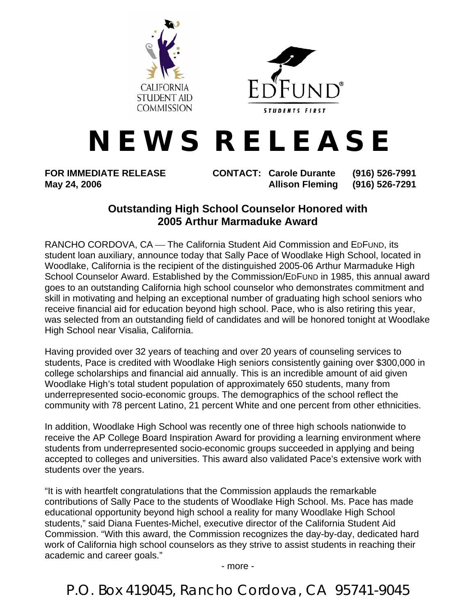



## **N E W S R E L E A S E**

**FOR IMMEDIATE RELEASE CONTACT: Carole Durante (916) 526-7991 May 24, 2006 Allison Fleming (916) 526-7291** 

## **Outstanding High School Counselor Honored with 2005 Arthur Marmaduke Award**

RANCHO CORDOVA, CA — The California Student Aid Commission and EDFUND, its student loan auxiliary, announce today that Sally Pace of Woodlake High School, located in Woodlake, California is the recipient of the distinguished 2005-06 Arthur Marmaduke High School Counselor Award. Established by the Commission/EDFUND in 1985, this annual award goes to an outstanding California high school counselor who demonstrates commitment and skill in motivating and helping an exceptional number of graduating high school seniors who receive financial aid for education beyond high school. Pace, who is also retiring this year, was selected from an outstanding field of candidates and will be honored tonight at Woodlake High School near Visalia, California.

Having provided over 32 years of teaching and over 20 years of counseling services to students, Pace is credited with Woodlake High seniors consistently gaining over \$300,000 in college scholarships and financial aid annually. This is an incredible amount of aid given Woodlake High's total student population of approximately 650 students, many from underrepresented socio-economic groups. The demographics of the school reflect the community with 78 percent Latino, 21 percent White and one percent from other ethnicities.

In addition, Woodlake High School was recently one of three high schools nationwide to receive the AP College Board Inspiration Award for providing a learning environment where students from underrepresented socio-economic groups succeeded in applying and being accepted to colleges and universities. This award also validated Pace's extensive work with students over the years.

"It is with heartfelt congratulations that the Commission applauds the remarkable contributions of Sally Pace to the students of Woodlake High School. Ms. Pace has made educational opportunity beyond high school a reality for many Woodlake High School students," said Diana Fuentes-Michel, executive director of the California Student Aid Commission. "With this award, the Commission recognizes the day-by-day, dedicated hard work of California high school counselors as they strive to assist students in reaching their academic and career goals."

- more -

P.O. Box 419045, Rancho Cordova, CA 95741-9045